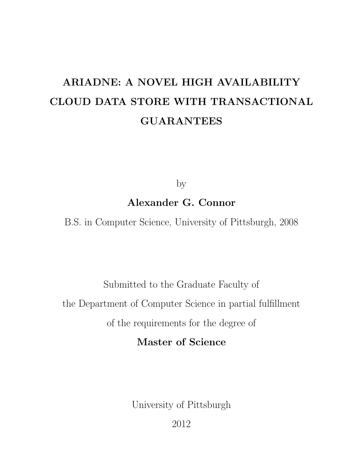# ARIADNE: A NOVEL HIGH AVAILABILITY CLOUD DATA STORE WITH TRANSACTIONAL GUARANTEES

by

# Alexander G. Connor

B.S. in Computer Science, University of Pittsburgh, 2008

Submitted to the Graduate Faculty of

the Department of Computer Science in partial fulfillment

of the requirements for the degree of

# Master of Science

University of Pittsburgh

2012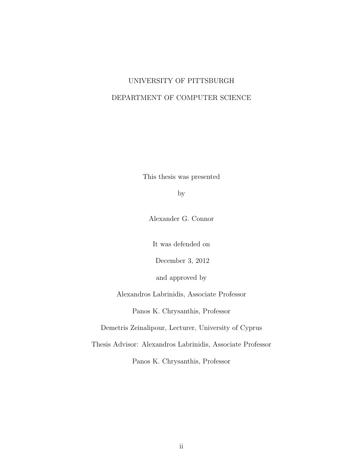# UNIVERSITY OF PITTSBURGH DEPARTMENT OF COMPUTER SCIENCE

This thesis was presented

by

Alexander G. Connor

It was defended on

December 3, 2012

and approved by

Alexandros Labrinidis, Associate Professor

Panos K. Chrysanthis, Professor

Demetris Zeinalipour, Lecturer, University of Cyprus

Thesis Advisor: Alexandros Labrinidis, Associate Professor

Panos K. Chrysanthis, Professor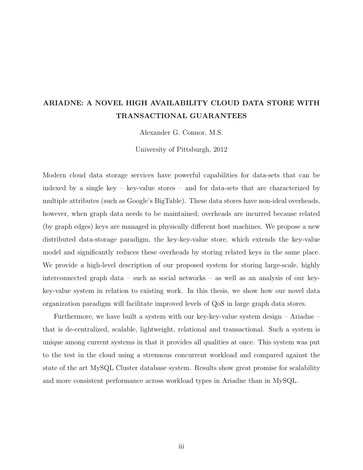## ARIADNE: A NOVEL HIGH AVAILABILITY CLOUD DATA STORE WITH TRANSACTIONAL GUARANTEES

Alexander G. Connor, M.S.

University of Pittsburgh, 2012

Modern cloud data storage services have powerful capabilities for data-sets that can be indexed by a single key – key-value stores – and for data-sets that are characterized by multiple attributes (such as Google's BigTable). These data stores have non-ideal overheads, however, when graph data needs to be maintained; overheads are incurred because related (by graph edges) keys are managed in physically different host machines. We propose a new distributed data-storage paradigm, the key-key-value store, which extends the key-value model and significantly reduces these overheads by storing related keys in the same place. We provide a high-level description of our proposed system for storing large-scale, highly interconnected graph data – such as social networks – as well as an analysis of our keykey-value system in relation to existing work. In this thesis, we show how our novel data organization paradigm will facilitate improved levels of QoS in large graph data stores.

Furthermore, we have built a system with our key-key-value system design – Ariadne – that is de-centralized, scalable, lightweight, relational and transactional. Such a system is unique among current systems in that it provides all qualities at once. This system was put to the test in the cloud using a strenuous concurrent workload and compared against the state of the art MySQL Cluster database system. Results show great promise for scalability and more consistent performance across workload types in Ariadne than in MySQL.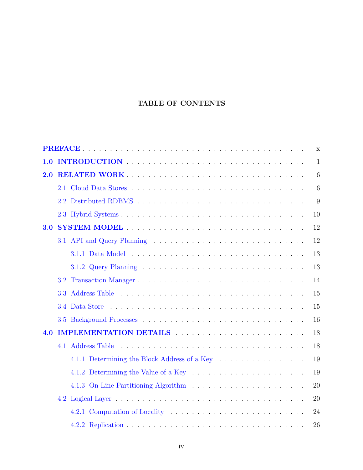### TABLE OF CONTENTS

|     |                                                                                                                                                                                                                               | $\mathbf x$  |
|-----|-------------------------------------------------------------------------------------------------------------------------------------------------------------------------------------------------------------------------------|--------------|
| 1.0 |                                                                                                                                                                                                                               | $\mathbf{1}$ |
| 2.0 |                                                                                                                                                                                                                               | 6            |
|     |                                                                                                                                                                                                                               | 6            |
|     |                                                                                                                                                                                                                               | 9            |
|     |                                                                                                                                                                                                                               | 10           |
| 3.0 |                                                                                                                                                                                                                               | 12           |
|     |                                                                                                                                                                                                                               | 12           |
|     |                                                                                                                                                                                                                               | 13           |
|     |                                                                                                                                                                                                                               | 13           |
|     | 3.2                                                                                                                                                                                                                           | 14           |
|     |                                                                                                                                                                                                                               | 15           |
|     |                                                                                                                                                                                                                               | 15           |
|     |                                                                                                                                                                                                                               | 16           |
| 4.0 | IMPLEMENTATION DETAILS FOR A CONTRACT AND THE SET OF THE SET OF THE SET OF THE SET OF THE SET OF THE SET OF THE SET OF THE SET OF THE SET OF THE SET OF THE SET OF THE SET OF THE SET OF THE SET OF THE SET OF THE SET OF THE | 18           |
|     |                                                                                                                                                                                                                               | 18           |
|     | 4.1.1 Determining the Block Address of a Key                                                                                                                                                                                  | 19           |
|     |                                                                                                                                                                                                                               | 19           |
|     |                                                                                                                                                                                                                               | 20           |
|     |                                                                                                                                                                                                                               | 20           |
|     |                                                                                                                                                                                                                               | 24           |
|     |                                                                                                                                                                                                                               | 26           |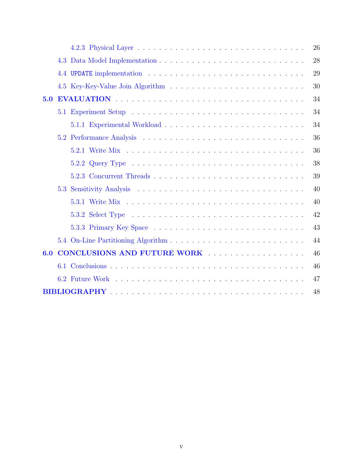|     |                             | 26 |
|-----|-----------------------------|----|
|     |                             | 28 |
|     |                             | 29 |
|     |                             | 30 |
| 5.0 |                             | 34 |
|     |                             | 34 |
|     |                             | 34 |
|     |                             | 36 |
|     |                             | 36 |
|     |                             | 38 |
|     |                             | 39 |
|     |                             | 40 |
|     |                             | 40 |
|     |                             | 42 |
|     |                             | 43 |
|     |                             | 44 |
| 6.0 | CONCLUSIONS AND FUTURE WORK | 46 |
|     |                             | 46 |
|     |                             | 47 |
|     |                             | 48 |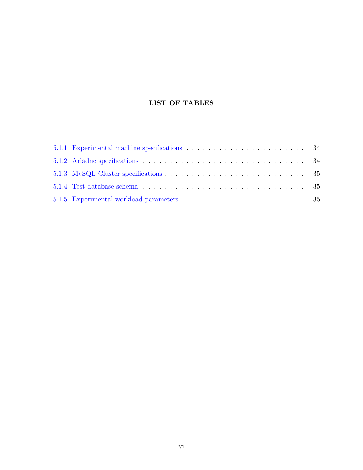### LIST OF TABLES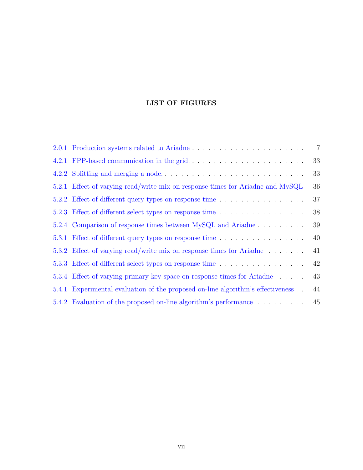### LIST OF FIGURES

|                                                                                 | $\overline{7}$ |
|---------------------------------------------------------------------------------|----------------|
|                                                                                 | 33             |
|                                                                                 | 33             |
| 5.2.1 Effect of varying read/write mix on response times for Ariadne and MySQL  | 36             |
| 5.2.2 Effect of different query types on response time                          | 37             |
| 5.2.3 Effect of different select types on response time                         | 38             |
| 5.2.4 Comparison of response times between MySQL and Ariadne                    | 39             |
| 5.3.1 Effect of different query types on response time                          | 40             |
| 5.3.2 Effect of varying read/write mix on response times for Ariadne            | 41             |
| 5.3.3 Effect of different select types on response time                         | 42             |
| 5.3.4 Effect of varying primary key space on response times for Ariadne         | 43             |
| 5.4.1 Experimental evaluation of the proposed on-line algorithm's effectiveness | 44             |
| 5.4.2 Evaluation of the proposed on-line algorithm's performance                | 45             |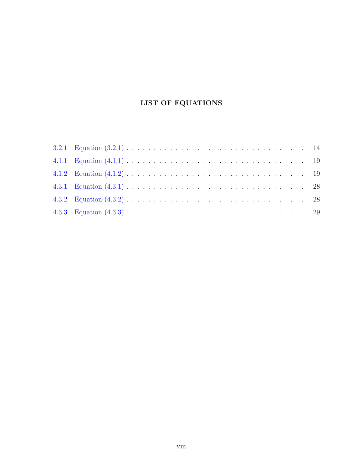# LIST OF EQUATIONS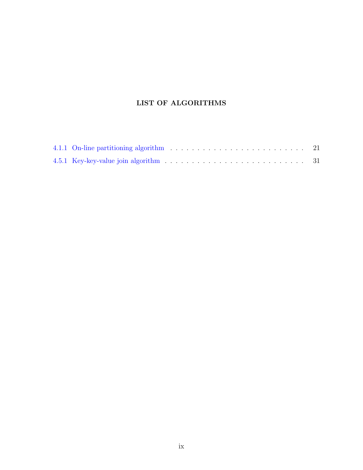### LIST OF ALGORITHMS

| 4.1.1 On-line partitioning algorithm $\ldots \ldots \ldots \ldots \ldots \ldots \ldots \ldots \ldots$ 21 |  |  |  |  |  |  |  |  |  |  |  |
|----------------------------------------------------------------------------------------------------------|--|--|--|--|--|--|--|--|--|--|--|
|                                                                                                          |  |  |  |  |  |  |  |  |  |  |  |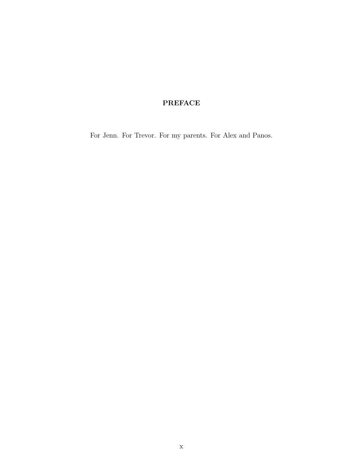### PREFACE

<span id="page-9-0"></span>For Jenn. For Trevor. For my parents. For Alex and Panos.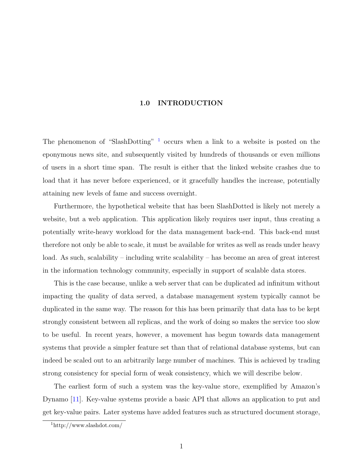#### 1.0 INTRODUCTION

<span id="page-10-0"></span>The phenomenon of "SlashDotting"  $\frac{1}{1}$  $\frac{1}{1}$  $\frac{1}{1}$  occurs when a link to a website is posted on the eponymous news site, and subsequently visited by hundreds of thousands or even millions of users in a short time span. The result is either that the linked website crashes due to load that it has never before experienced, or it gracefully handles the increase, potentially attaining new levels of fame and success overnight.

Furthermore, the hypothetical website that has been SlashDotted is likely not merely a website, but a web application. This application likely requires user input, thus creating a potentially write-heavy workload for the data management back-end. This back-end must therefore not only be able to scale, it must be available for writes as well as reads under heavy load. As such, scalability – including write scalability – has become an area of great interest in the information technology community, especially in support of scalable data stores.

This is the case because, unlike a web server that can be duplicated ad infinitum without impacting the quality of data served, a database management system typically cannot be duplicated in the same way. The reason for this has been primarily that data has to be kept strongly consistent between all replicas, and the work of doing so makes the service too slow to be useful. In recent years, however, a movement has begun towards data management systems that provide a simpler feature set than that of relational database systems, but can indeed be scaled out to an arbitrarily large number of machines. This is achieved by trading strong consistency for special form of weak consistency, which we will describe below.

The earliest form of such a system was the key-value store, exemplified by Amazon's Dynamo [\[11\]](#page-58-0). Key-value systems provide a basic API that allows an application to put and get key-value pairs. Later systems have added features such as structured document storage,

<span id="page-10-1"></span><sup>1</sup>http://www.slashdot.com/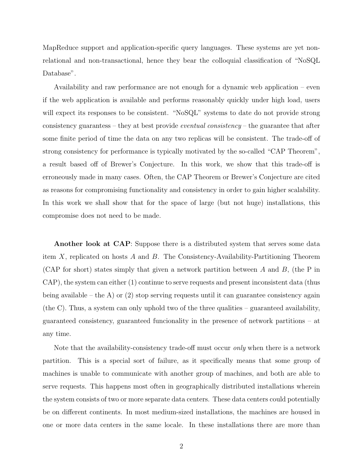MapReduce support and application-specific query languages. These systems are yet nonrelational and non-transactional, hence they bear the colloquial classification of "NoSQL Database".

Availability and raw performance are not enough for a dynamic web application – even if the web application is available and performs reasonably quickly under high load, users will expect its responses to be consistent. "NoSQL" systems to date do not provide strong consistency guarantess – they at best provide eventual consistency – the guarantee that after some finite period of time the data on any two replicas will be consistent. The trade-off of strong consistency for performance is typically motivated by the so-called "CAP Theorem", a result based off of Brewer's Conjecture. In this work, we show that this trade-off is erroneously made in many cases. Often, the CAP Theorem or Brewer's Conjecture are cited as reasons for compromising functionality and consistency in order to gain higher scalability. In this work we shall show that for the space of large (but not huge) installations, this compromise does not need to be made.

Another look at CAP: Suppose there is a distributed system that serves some data item  $X$ , replicated on hosts  $A$  and  $B$ . The Consistency-Availability-Partitioning Theorem (CAP for short) states simply that given a network partition between A and B, (the P in CAP), the system can either (1) continue to serve requests and present inconsistent data (thus being available – the A) or (2) stop serving requests until it can guarantee consistency again (the C). Thus, a system can only uphold two of the three qualities – guaranteed availability, guaranteed consistency, guaranteed funcionality in the presence of network partitions – at any time.

Note that the availability-consistency trade-off must occur only when there is a network partition. This is a special sort of failure, as it specifically means that some group of machines is unable to communicate with another group of machines, and both are able to serve requests. This happens most often in geographically distributed installations wherein the system consists of two or more separate data centers. These data centers could potentially be on different continents. In most medium-sized installations, the machines are housed in one or more data centers in the same locale. In these installations there are more than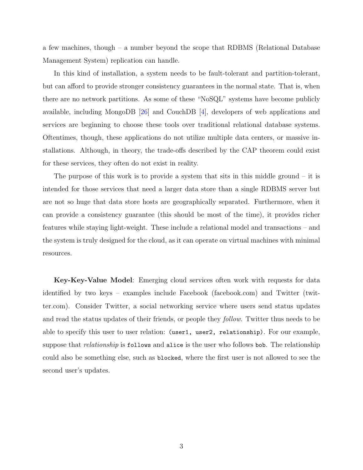a few machines, though – a number beyond the scope that RDBMS (Relational Database Management System) replication can handle.

In this kind of installation, a system needs to be fault-tolerant and partition-tolerant, but can afford to provide stronger consistency guarantees in the normal state. That is, when there are no network partitions. As some of these "NoSQL" systems have become publicly available, including MongoDB [\[26\]](#page-59-0) and CouchDB [\[4\]](#page-57-1), developers of web applications and services are beginning to choose these tools over traditional relational database systems. Oftentimes, though, these applications do not utilize multiple data centers, or massive installations. Although, in theory, the trade-offs described by the CAP theorem could exist for these services, they often do not exist in reality.

The purpose of this work is to provide a system that sits in this middle ground  $-$  it is intended for those services that need a larger data store than a single RDBMS server but are not so huge that data store hosts are geographically separated. Furthermore, when it can provide a consistency guarantee (this should be most of the time), it provides richer features while staying light-weight. These include a relational model and transactions – and the system is truly designed for the cloud, as it can operate on virtual machines with minimal resources.

Key-Key-Value Model: Emerging cloud services often work with requests for data identified by two keys – examples include Facebook (facebook.com) and Twitter (twitter.com). Consider Twitter, a social networking service where users send status updates and read the status updates of their friends, or people they follow. Twitter thus needs to be able to specify this user to user relation: (user1, user2, relationship). For our example, suppose that *relationship* is follows and alice is the user who follows bob. The relationship could also be something else, such as blocked, where the first user is not allowed to see the second user's updates.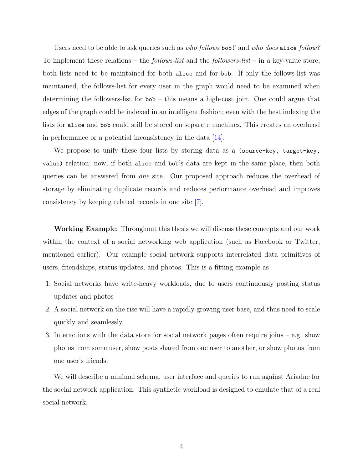Users need to be able to ask queries such as who follows bob? and who does alice follow? To implement these relations – the *follows-list* and the *followers-list* – in a key-value store, both lists need to be maintained for both alice and for bob. If only the follows-list was maintained, the follows-list for every user in the graph would need to be examined when determining the followers-list for bob – this means a high-cost join. One could argue that edges of the graph could be indexed in an intelligent fashion; even with the best indexing the lists for alice and bob could still be stored on separate machines. This creates an overhead in performance or a potential inconsistency in the data [\[14\]](#page-58-1).

We propose to unify these four lists by storing data as a (source-key, target-key, value) relation; now, if both alice and bob's data are kept in the same place, then both queries can be answered from one site. Our proposed approach reduces the overhead of storage by eliminating duplicate records and reduces performance overhead and improves consistency by keeping related records in one site [\[7\]](#page-57-2).

Working Example: Throughout this thesis we will discuss these concepts and our work within the context of a social networking web application (such as Facebook or Twitter, mentioned earlier). Our example social network supports interrelated data primitives of users, friendships, status updates, and photos. This is a fitting example as

- 1. Social networks have write-heavy workloads, due to users continuously posting status updates and photos
- 2. A social network on the rise will have a rapidly growing user base, and thus need to scale quickly and seamlessly
- 3. Interactions with the data store for social network pages often require joins e.g. show photos from some user, show posts shared from one user to another, or show photos from one user's friends.

We will describe a minimal schema, user interface and queries to run against Ariadne for the social network application. This synthetic workload is designed to emulate that of a real social network.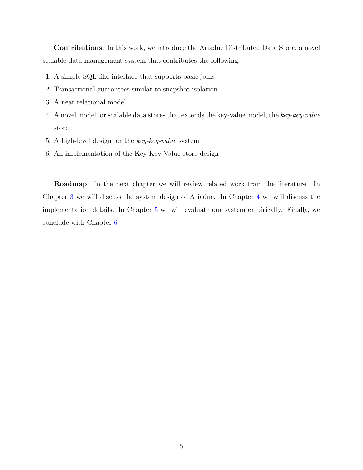Contributions: In this work, we introduce the Ariadne Distributed Data Store, a novel scalable data management system that contributes the following:

- 1. A simple SQL-like interface that supports basic joins
- 2. Transactional guarantees similar to snapshot isolation
- 3. A near relational model
- 4. A novel model for scalable data stores that extends the key-value model, the key-key-value store
- 5. A high-level design for the key-key-value system
- 6. An implementation of the Key-Key-Value store design

Roadmap: In the next chapter we will review related work from the literature. In Chapter [3](#page-21-0) we will discuss the system design of Ariadne. In Chapter [4](#page-27-0) we will discuss the implementation details. In Chapter [5](#page-43-0) we will evaluate our system empirically. Finally, we conclude with Chapter [6](#page-55-0)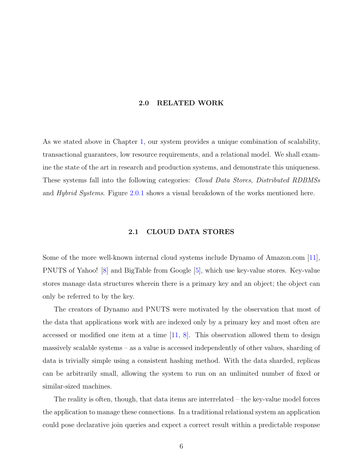#### 2.0 RELATED WORK

<span id="page-15-0"></span>As we stated above in Chapter [1,](#page-10-0) our system provides a unique combination of scalability, transactional guarantees, low resource requirements, and a relational model. We shall examine the state of the art in research and production systems, and demonstrate this uniqueness. These systems fall into the following categories: Cloud Data Stores, Distributed RDBMSs and Hybrid Systems. Figure [2.0.1](#page-16-0) shows a visual breakdown of the works mentioned here.

#### 2.1 CLOUD DATA STORES

<span id="page-15-1"></span>Some of the more well-known internal cloud systems include Dynamo of Amazon.com [\[11\]](#page-58-0), PNUTS of Yahoo! [\[8\]](#page-57-3) and BigTable from Google [\[5\]](#page-57-4), which use key-value stores. Key-value stores manage data structures wherein there is a primary key and an object; the object can only be referred to by the key.

The creators of Dynamo and PNUTS were motivated by the observation that most of the data that applications work with are indexed only by a primary key and most often are accessed or modified one item at a time [\[11,](#page-58-0) [8\]](#page-57-3). This observation allowed them to design massively scalable systems – as a value is accessed independently of other values, sharding of data is trivially simple using a consistent hashing method. With the data sharded, replicas can be arbitrarily small, allowing the system to run on an unlimited number of fixed or similar-sized machines.

The reality is often, though, that data items are interrelated – the key-value model forces the application to manage these connections. In a traditional relational system an application could pose declarative join queries and expect a correct result within a predictable response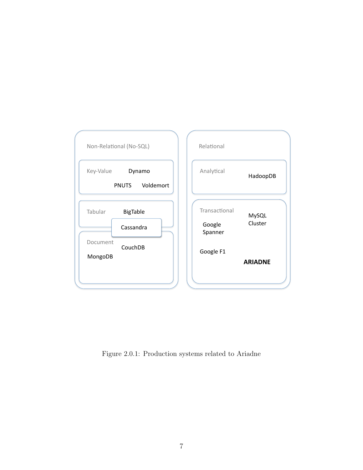

<span id="page-16-0"></span>Figure 2.0.1: Production systems related to Ariadne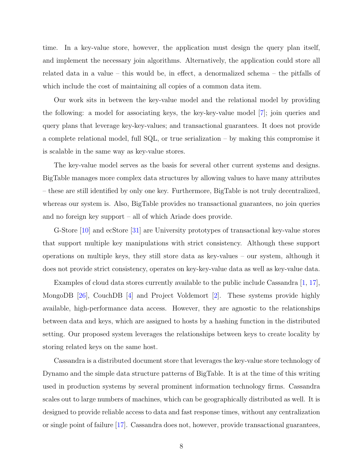time. In a key-value store, however, the application must design the query plan itself, and implement the necessary join algorithms. Alternatively, the application could store all related data in a value – this would be, in effect, a denormalized schema – the pitfalls of which include the cost of maintaining all copies of a common data item.

Our work sits in between the key-value model and the relational model by providing the following: a model for associating keys, the key-key-value model [\[7\]](#page-57-2); join queries and query plans that leverage key-key-values; and transactional guarantees. It does not provide a complete relational model, full SQL, or true serialization – by making this compromise it is scalable in the same way as key-value stores.

The key-value model serves as the basis for several other current systems and designs. BigTable manages more complex data structures by allowing values to have many attributes – these are still identified by only one key. Furthermore, BigTable is not truly decentralized, whereas our system is. Also, BigTable provides no transactional guarantees, no join queries and no foreign key support – all of which Ariade does provide.

G-Store [\[10\]](#page-58-2) and ecStore [\[31\]](#page-59-1) are University prototypes of transactional key-value stores that support multiple key manipulations with strict consistency. Although these support operations on multiple keys, they still store data as key-values – our system, although it does not provide strict consistency, operates on key-key-value data as well as key-value data.

Examples of cloud data stores currently available to the public include Cassandra [\[1,](#page-57-5) [17\]](#page-58-3), MongoDB  $[26]$ , CouchDB  $[4]$  and Project Voldemort  $[2]$ . These systems provide highly available, high-performance data access. However, they are agnostic to the relationships between data and keys, which are assigned to hosts by a hashing function in the distributed setting. Our proposed system leverages the relationships between keys to create locality by storing related keys on the same host.

Cassandra is a distributed document store that leverages the key-value store technology of Dynamo and the simple data structure patterns of BigTable. It is at the time of this writing used in production systems by several prominent information technology firms. Cassandra scales out to large numbers of machines, which can be geographically distributed as well. It is designed to provide reliable access to data and fast response times, without any centralization or single point of failure [\[17\]](#page-58-3). Cassandra does not, however, provide transactional guarantees,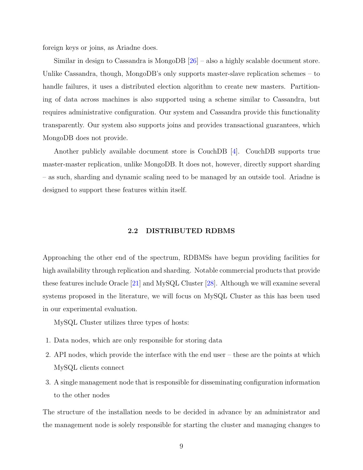foreign keys or joins, as Ariadne does.

Similar in design to Cassandra is MongoDB  $|26|$  – also a highly scalable document store. Unlike Cassandra, though, MongoDB's only supports master-slave replication schemes – to handle failures, it uses a distributed election algorithm to create new masters. Partitioning of data across machines is also supported using a scheme similar to Cassandra, but requires administrative configuration. Our system and Cassandra provide this functionality transparently. Our system also supports joins and provides transactional guarantees, which MongoDB does not provide.

Another publicly available document store is CouchDB [\[4\]](#page-57-1). CouchDB supports true master-master replication, unlike MongoDB. It does not, however, directly support sharding – as such, sharding and dynamic scaling need to be managed by an outside tool. Ariadne is designed to support these features within itself.

#### 2.2 DISTRIBUTED RDBMS

<span id="page-18-0"></span>Approaching the other end of the spectrum, RDBMSs have begun providing facilities for high availability through replication and sharding. Notable commercial products that provide these features include Oracle [\[21\]](#page-58-4) and MySQL Cluster [\[28\]](#page-59-2). Although we will examine several systems proposed in the literature, we will focus on MySQL Cluster as this has been used in our experimental evaluation.

MySQL Cluster utilizes three types of hosts:

- 1. Data nodes, which are only responsible for storing data
- 2. API nodes, which provide the interface with the end user these are the points at which MySQL clients connect
- 3. A single management node that is responsible for disseminating configuration information to the other nodes

The structure of the installation needs to be decided in advance by an administrator and the management node is solely responsible for starting the cluster and managing changes to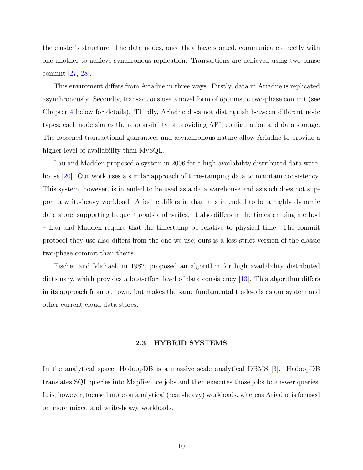the cluster's structure. The data nodes, once they have started, communicate directly with one another to achieve synchronous replication. Transactions are achieved using two-phase commit [\[27,](#page-59-3) [28\]](#page-59-2).

This enviroment differs from Ariadne in three ways. Firstly, data in Ariadne is replicated asynchronously. Secondly, transactions use a novel form of optimistic two-phase commit (see Chapter [4](#page-27-0) below for details). Thirdly, Ariadne does not distinguish between different node types; each node shares the responsibility of providing API, configuration and data storage. The loosened transactional guarantees and asynchronous nature allow Ariadne to provide a higher level of availability than MySQL.

Lau and Madden proposed a system in 2006 for a high-availability distributed data ware-house [\[20\]](#page-58-5). Our work uses a similar approach of timestamping data to maintain consistency. This system, however, is intended to be used as a data warehouse and as such does not support a write-heavy workload. Ariadne differs in that it is intended to be a highly dynamic data store, supporting frequent reads and writes. It also differs in the timestamping method – Lau and Madden require that the timestamp be relative to physical time. The commit protocol they use also differs from the one we use; ours is a less strict version of the classic two-phase commit than theirs.

Fischer and Michael, in 1982, proposed an algorithm for high availability distributed dictionary, which provides a best-effort level of data consistency [\[13\]](#page-58-6). This algorithm differs in its approach from our own, but makes the same fundamental trade-offs as our system and other current cloud data stores.

#### 2.3 HYBRID SYSTEMS

<span id="page-19-0"></span>In the analytical space, HadoopDB is a massive scale analytical DBMS [\[3\]](#page-57-7). HadoopDB translates SQL queries into MapReduce jobs and then executes those jobs to answer queries. It is, however, focused more on analytical (read-heavy) workloads, whereas Ariadne is focused on more mixed and write-heavy workloads.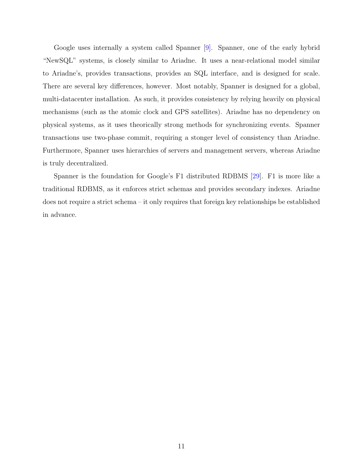Google uses internally a system called Spanner [\[9\]](#page-57-8). Spanner, one of the early hybrid "NewSQL" systems, is closely similar to Ariadne. It uses a near-relational model similar to Ariadne's, provides transactions, provides an SQL interface, and is designed for scale. There are several key differences, however. Most notably, Spanner is designed for a global, multi-datacenter installation. As such, it provides consistency by relying heavily on physical mechanisms (such as the atomic clock and GPS satellites). Ariadne has no dependency on physical systems, as it uses theorically strong methods for synchronizing events. Spanner transactions use two-phase commit, requiring a stonger level of consistency than Ariadne. Furthermore, Spanner uses hierarchies of servers and management servers, whereas Ariadne is truly decentralized.

Spanner is the foundation for Google's F1 distributed RDBMS [\[29\]](#page-59-4). F1 is more like a traditional RDBMS, as it enforces strict schemas and provides secondary indexes. Ariadne does not require a strict schema – it only requires that foreign key relationships be established in advance.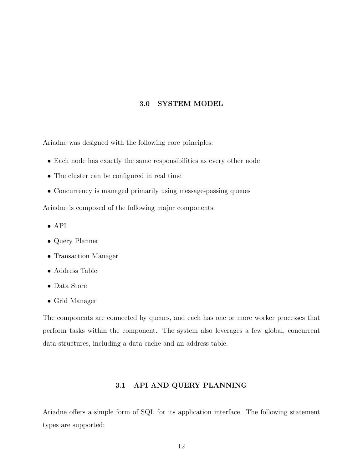#### 3.0 SYSTEM MODEL

<span id="page-21-0"></span>Ariadne was designed with the following core principles:

- Each node has exactly the same responsibilities as every other node
- The cluster can be configured in real time
- Concurrency is managed primarily using message-passing queues

Ariadne is composed of the following major components:

- API
- Query Planner
- Transaction Manager
- Address Table
- Data Store
- Grid Manager

The components are connected by queues, and each has one or more worker processes that perform tasks within the component. The system also leverages a few global, concurrent data structures, including a data cache and an address table.

#### 3.1 API AND QUERY PLANNING

<span id="page-21-1"></span>Ariadne offers a simple form of SQL for its application interface. The following statement types are supported: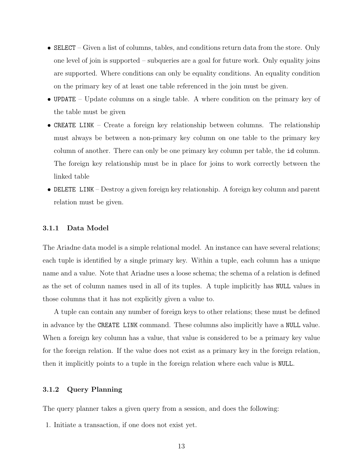- SELECT Given a list of columns, tables, and conditions return data from the store. Only one level of join is supported – subqueries are a goal for future work. Only equality joins are supported. Where conditions can only be equality conditions. An equality condition on the primary key of at least one table referenced in the join must be given.
- UPDATE Update columns on a single table. A where condition on the primary key of the table must be given
- CREATE LINK Create a foreign key relationship between columns. The relationship must always be between a non-primary key column on one table to the primary key column of another. There can only be one primary key column per table, the id column. The foreign key relationship must be in place for joins to work correctly between the linked table
- DELETE LINK Destroy a given foreign key relationship. A foreign key column and parent relation must be given.

#### <span id="page-22-0"></span>3.1.1 Data Model

The Ariadne data model is a simple relational model. An instance can have several relations; each tuple is identified by a single primary key. Within a tuple, each column has a unique name and a value. Note that Ariadne uses a loose schema; the schema of a relation is defined as the set of column names used in all of its tuples. A tuple implicitly has NULL values in those columns that it has not explicitly given a value to.

A tuple can contain any number of foreign keys to other relations; these must be defined in advance by the CREATE LINK command. These columns also implicitly have a NULL value. When a foreign key column has a value, that value is considered to be a primary key value for the foreign relation. If the value does not exist as a primary key in the foreign relation, then it implicitly points to a tuple in the foreign relation where each value is NULL.

#### <span id="page-22-1"></span>3.1.2 Query Planning

The query planner takes a given query from a session, and does the following:

1. Initiate a transaction, if one does not exist yet.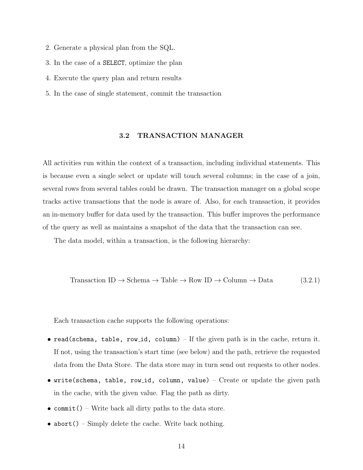- 2. Generate a physical plan from the SQL.
- 3. In the case of a SELECT, optimize the plan
- 4. Execute the query plan and return results
- 5. In the case of single statement, commit the transaction

#### <span id="page-23-1"></span>3.2 TRANSACTION MANAGER

<span id="page-23-0"></span>All activities run within the context of a transaction, including individual statements. This is because even a single select or update will touch several columns; in the case of a join, several rows from several tables could be drawn. The transaction manager on a global scope tracks active transactions that the node is aware of. Also, for each transaction, it provides an in-memory buffer for data used by the transaction. This buffer improves the performance of the query as well as maintains a snapshot of the data that the transaction can see.

The data model, within a transaction, is the following hierarchy:

$$
Transaction ID \rightarrow Schema \rightarrow Table \rightarrow Row ID \rightarrow Column \rightarrow Data \tag{3.2.1}
$$

Each transaction cache supports the following operations:

- read(schema, table, row id, column) If the given path is in the cache, return it. If not, using the transaction's start time (see below) and the path, retrieve the requested data from the Data Store. The data store may in turn send out requests to other nodes.
- write(schema, table, row\_id, column, value) Create or update the given path in the cache, with the given value. Flag the path as dirty.
- commit() Write back all dirty paths to the data store.
- abort() Simply delete the cache. Write back nothing.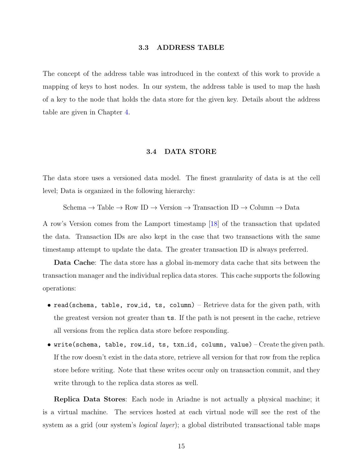#### 3.3 ADDRESS TABLE

<span id="page-24-0"></span>The concept of the address table was introduced in the context of this work to provide a mapping of keys to host nodes. In our system, the address table is used to map the hash of a key to the node that holds the data store for the given key. Details about the address table are given in Chapter [4.](#page-27-0)

#### 3.4 DATA STORE

<span id="page-24-1"></span>The data store uses a versioned data model. The finest granularity of data is at the cell level; Data is organized in the following hierarchy:

Schema  $\rightarrow$  Table  $\rightarrow$  Row ID  $\rightarrow$  Version  $\rightarrow$  Transaction ID  $\rightarrow$  Column  $\rightarrow$  Data

A row's Version comes from the Lamport timestamp [\[18\]](#page-58-7) of the transaction that updated the data. Transaction IDs are also kept in the case that two transactions with the same timestamp attempt to update the data. The greater transaction ID is always preferred.

Data Cache: The data store has a global in-memory data cache that sits between the transaction manager and the individual replica data stores. This cache supports the following operations:

- read(schema, table, row id, ts, column) Retrieve data for the given path, with the greatest version not greater than ts. If the path is not present in the cache, retrieve all versions from the replica data store before responding.
- write(schema, table, row\_id, ts, txn\_id, column, value) Create the given path. If the row doesn't exist in the data store, retrieve all version for that row from the replica store before writing. Note that these writes occur only on transaction commit, and they write through to the replica data stores as well.

Replica Data Stores: Each node in Ariadne is not actually a physical machine; it is a virtual machine. The services hosted at each virtual node will see the rest of the system as a grid (our system's *logical layer*); a global distributed transactional table maps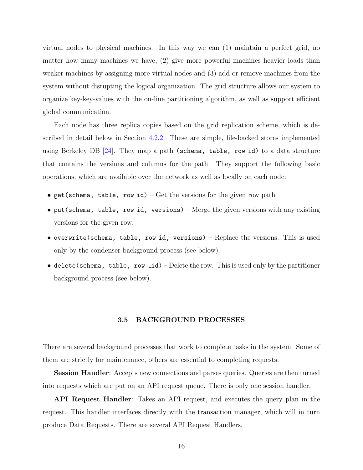virtual nodes to physical machines. In this way we can (1) maintain a perfect grid, no matter how many machines we have, (2) give more powerful machines heavier loads than weaker machines by assigning more virtual nodes and (3) add or remove machines from the system without disrupting the logical organization. The grid structure allows our system to organize key-key-values with the on-line partitioning algorithm, as well as support efficient global communication.

Each node has three replica copies based on the grid replication scheme, which is described in detail below in Section [4.2.2.](#page-35-0) These are simple, file-backed stores implemented using Berkeley DB  $[24]$ . They map a path (schema, table, row id) to a data structure that contains the versions and columns for the path. They support the following basic operations, which are available over the network as well as locally on each node:

- get(schema, table, row\_id) Get the versions for the given row path
- put (schema, table, row id, versions) Merge the given versions with any existing versions for the given row.
- overwrite(schema, table, row id, versions) Replace the versions. This is used only by the condenser background process (see below).
- delete(schema, table, row  $_id$ ) Delete the row. This is used only by the partitioner background process (see below).

#### 3.5 BACKGROUND PROCESSES

<span id="page-25-0"></span>There are several background processes that work to complete tasks in the system. Some of them are strictly for maintenance, others are essential to completing requests.

Session Handler: Accepts new connections and parses queries. Queries are then turned into requests which are put on an API request queue. There is only one session handler.

API Request Handler: Takes an API request, and executes the query plan in the request. This handler interfaces directly with the transaction manager, which will in turn produce Data Requests. There are several API Request Handlers.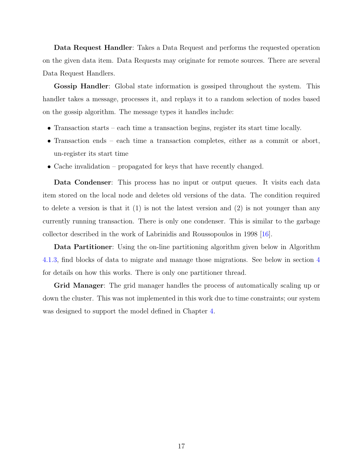Data Request Handler: Takes a Data Request and performs the requested operation on the given data item. Data Requests may originate for remote sources. There are several Data Request Handlers.

Gossip Handler: Global state information is gossiped throughout the system. This handler takes a message, processes it, and replays it to a random selection of nodes based on the gossip algorithm. The message types it handles include:

- Transaction starts each time a transaction begins, register its start time locally.
- Transaction ends each time a transaction completes, either as a commit or abort, un-register its start time
- Cache invalidation propagated for keys that have recently changed.

Data Condenser: This process has no input or output queues. It visits each data item stored on the local node and deletes old versions of the data. The condition required to delete a version is that it (1) is not the latest version and (2) is not younger than any currently running transaction. There is only one condenser. This is similar to the garbage collector described in the work of Labrinidis and Roussopoulos in 1998 [\[16\]](#page-58-8).

Data Partitioner: Using the on-line partitioning algorithm given below in Algorithm [4.1.3,](#page-29-0) find blocks of data to migrate and manage those migrations. See below in section [4](#page-27-0) for details on how this works. There is only one partitioner thread.

Grid Manager: The grid manager handles the process of automatically scaling up or down the cluster. This was not implemented in this work due to time constraints; our system was designed to support the model defined in Chapter [4.](#page-27-0)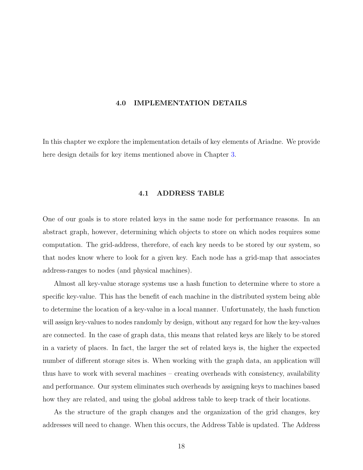#### <span id="page-27-0"></span>4.0 IMPLEMENTATION DETAILS

In this chapter we explore the implementation details of key elements of Ariadne. We provide here design details for key items mentioned above in Chapter [3.](#page-21-0)

#### 4.1 ADDRESS TABLE

<span id="page-27-1"></span>One of our goals is to store related keys in the same node for performance reasons. In an abstract graph, however, determining which objects to store on which nodes requires some computation. The grid-address, therefore, of each key needs to be stored by our system, so that nodes know where to look for a given key. Each node has a grid-map that associates address-ranges to nodes (and physical machines).

Almost all key-value storage systems use a hash function to determine where to store a specific key-value. This has the benefit of each machine in the distributed system being able to determine the location of a key-value in a local manner. Unfortunately, the hash function will assign key-values to nodes randomly by design, without any regard for how the key-values are connected. In the case of graph data, this means that related keys are likely to be stored in a variety of places. In fact, the larger the set of related keys is, the higher the expected number of different storage sites is. When working with the graph data, an application will thus have to work with several machines – creating overheads with consistency, availability and performance. Our system eliminates such overheads by assigning keys to machines based how they are related, and using the global address table to keep track of their locations.

As the structure of the graph changes and the organization of the grid changes, key addresses will need to change. When this occurs, the Address Table is updated. The Address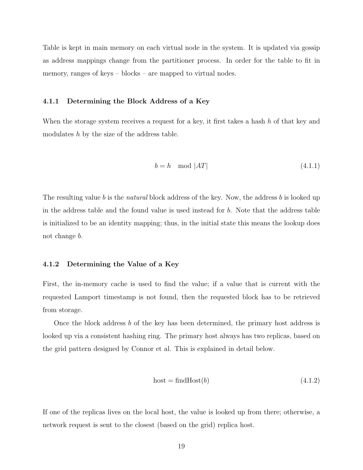Table is kept in main memory on each virtual node in the system. It is updated via gossip as address mappings change from the partitioner process. In order for the table to fit in memory, ranges of keys – blocks – are mapped to virtual nodes.

#### <span id="page-28-0"></span>4.1.1 Determining the Block Address of a Key

When the storage system receives a request for a key, it first takes a hash h of that key and modulates h by the size of the address table.

<span id="page-28-2"></span>
$$
b = h \mod |AT| \tag{4.1.1}
$$

The resulting value b is the *natural* block address of the key. Now, the address b is looked up in the address table and the found value is used instead for b. Note that the address table is initialized to be an identity mapping; thus, in the initial state this means the lookup does not change b.

#### <span id="page-28-1"></span>4.1.2 Determining the Value of a Key

First, the in-memory cache is used to find the value; if a value that is current with the requested Lamport timestamp is not found, then the requested block has to be retrieved from storage.

Once the block address b of the key has been determined, the primary host address is looked up via a consistent hashing ring. The primary host always has two replicas, based on the grid pattern designed by Connor et al. This is explained in detail below.

<span id="page-28-3"></span>
$$
host = findHost(b)
$$
\n
$$
(4.1.2)
$$

If one of the replicas lives on the local host, the value is looked up from there; otherwise, a network request is sent to the closest (based on the grid) replica host.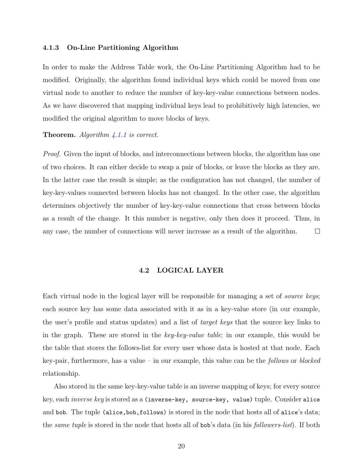#### <span id="page-29-0"></span>4.1.3 On-Line Partitioning Algorithm

In order to make the Address Table work, the On-Line Partitioning Algorithm had to be modified. Originally, the algorithm found individual keys which could be moved from one virtual node to another to reduce the number of key-key-value connections between nodes. As we have discovered that mapping individual keys lead to prohibitively high latencies, we modified the original algorithm to move blocks of keys.

#### **Theorem.** Algorithm  $\angle 1.1$  is correct.

Proof. Given the input of blocks, and interconnections between blocks, the algorithm has one of two choices. It can either decide to swap a pair of blocks, or leave the blocks as they are. In the latter case the result is simple; as the configuration has not changed, the number of key-key-values connected between blocks has not changed. In the other case, the algorithm determines objectively the number of key-key-value connections that cross between blocks as a result of the change. It this number is negative, only then does it proceed. Thus, in any case, the number of connections will never increase as a result of the algorithm.  $\Box$ 

#### 4.2 LOGICAL LAYER

<span id="page-29-1"></span>Each virtual node in the logical layer will be responsible for managing a set of *source keys*; each source key has some data associated with it as in a key-value store (in our example, the user's profile and status updates) and a list of target keys that the source key links to in the graph. These are stored in the key-key-value table; in our example, this would be the table that stores the follows-list for every user whose data is hosted at that node. Each key-pair, furthermore, has a value – in our example, this value can be the *follows* or *blocked* relationship.

Also stored in the same key-key-value table is an inverse mapping of keys; for every source key, each *inverse key* is stored as a (inverse-key, source-key, value) tuple. Consider alice and bob. The tuple (alice,bob,follows) is stored in the node that hosts all of alice's data; the same tuple is stored in the node that hosts all of bob's data (in his followers-list). If both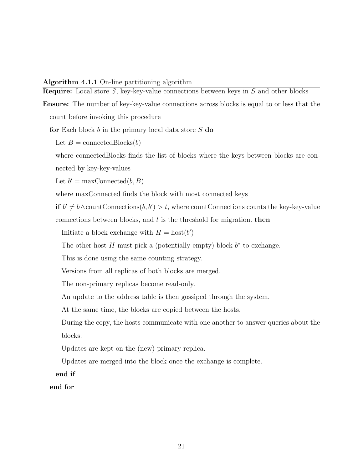#### Algorithm 4.1.1 On-line partitioning algorithm

<span id="page-30-0"></span>**Require:** Local store  $S$ , key-key-value connections between keys in  $S$  and other blocks

Ensure: The number of key-key-value connections across blocks is equal to or less that the count before invoking this procedure

for Each block b in the primary local data store  $S$  do

Let  $B =$  connected Blocks $(b)$ 

where connectedBlocks finds the list of blocks where the keys between blocks are con-

nected by key-key-values

Let  $b' = maxConnected(b, B)$ 

where maxConnected finds the block with most connected keys

**if**  $b' \neq b \land \text{countConnections}(b, b') > t$ , where countConnections counts the key-key-value connections between blocks, and  $t$  is the threshold for migration. **then** 

Initiate a block exchange with  $H = \text{host}(b')$ 

The other host  $H$  must pick a (potentially empty) block  $b^*$  to exchange.

This is done using the same counting strategy.

Versions from all replicas of both blocks are merged.

The non-primary replicas become read-only.

An update to the address table is then gossiped through the system.

At the same time, the blocks are copied between the hosts.

During the copy, the hosts communicate with one another to answer queries about the blocks.

Updates are kept on the (new) primary replica.

Updates are merged into the block once the exchange is complete.

end if

end for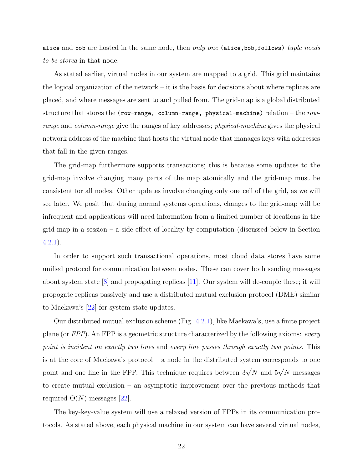alice and bob are hosted in the same node, then only one (alice, bob, follows) tuple needs to be stored in that node.

As stated earlier, virtual nodes in our system are mapped to a grid. This grid maintains the logical organization of the network – it is the basis for decisions about where replicas are placed, and where messages are sent to and pulled from. The grid-map is a global distributed structure that stores the (row-range, column-range, physical-machine) relation – the rowrange and column-range give the ranges of key addresses; physical-machine gives the physical network address of the machine that hosts the virtual node that manages keys with addresses that fall in the given ranges.

The grid-map furthermore supports transactions; this is because some updates to the grid-map involve changing many parts of the map atomically and the grid-map must be consistent for all nodes. Other updates involve changing only one cell of the grid, as we will see later. We posit that during normal systems operations, changes to the grid-map will be infrequent and applications will need information from a limited number of locations in the grid-map in a session – a side-effect of locality by computation (discussed below in Section [4.2.1\)](#page-33-0).

In order to support such transactional operations, most cloud data stores have some unified protocol for communication between nodes. These can cover both sending messages about system state [\[8\]](#page-57-3) and propogating replicas [\[11\]](#page-58-0). Our system will de-couple these; it will propogate replicas passively and use a distributed mutual exclusion protocol (DME) similar to Maekawa's [\[22\]](#page-58-9) for system state updates.

Our distributed mutual exclusion scheme (Fig. [4.2.1\)](#page-42-0), like Maekawa's, use a finite project plane (or FPP). An FPP is a geometric structure characterized by the following axioms: every point is incident on exactly two lines and every line passes through exactly two points. This is at the core of Maekawa's protocol – a node in the distributed system corresponds to one point and one line in the FPP. This technique requires between  $3\sqrt{N}$  and  $5\sqrt{N}$  messages to create mutual exclusion – an asymptotic improvement over the previous methods that required  $\Theta(N)$  messages [\[22\]](#page-58-9).

The key-key-value system will use a relaxed version of FPPs in its communication protocols. As stated above, each physical machine in our system can have several virtual nodes,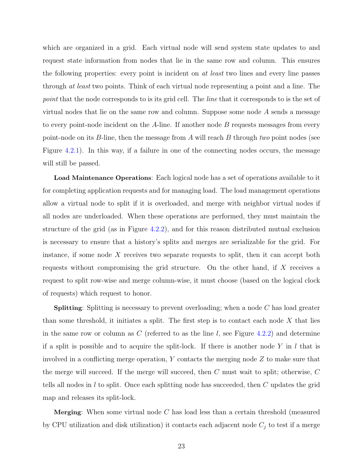which are organized in a grid. Each virtual node will send system state updates to and request state information from nodes that lie in the same row and column. This ensures the following properties: every point is incident on at least two lines and every line passes through at least two points. Think of each virtual node representing a point and a line. The point that the node corresponds to is its grid cell. The *line* that it corresponds to is the set of virtual nodes that lie on the same row and column. Suppose some node A sends a message to every point-node incident on the  $A$ -line. If another node  $B$  requests messages from every point-node on its B-line, then the message from A will reach B through two point nodes (see Figure [4.2.1\)](#page-42-0). In this way, if a failure in one of the connecting nodes occurs, the message will still be passed.

Load Maintenance Operations: Each logical node has a set of operations available to it for completing application requests and for managing load. The load management operations allow a virtual node to split if it is overloaded, and merge with neighbor virtual nodes if all nodes are underloaded. When these operations are performed, they must maintain the structure of the grid (as in Figure [4.2.2\)](#page-42-1), and for this reason distributed mutual exclusion is necessary to ensure that a history's splits and merges are serializable for the grid. For instance, if some node  $X$  receives two separate requests to split, then it can accept both requests without compromising the grid structure. On the other hand, if X receives a request to split row-wise and merge column-wise, it must choose (based on the logical clock of requests) which request to honor.

**Splitting:** Splitting is necessary to prevent overloading; when a node  $C$  has load greater than some threshold, it initiates a split. The first step is to contact each node  $X$  that lies in the same row or column as C (referred to as the line l, see Figure [4.2.2\)](#page-42-1) and determine if a split is possible and to acquire the split-lock. If there is another node Y in l that is involved in a conflicting merge operation,  $Y$  contacts the merging node  $Z$  to make sure that the merge will succeed. If the merge will succeed, then C must wait to split; otherwise, C tells all nodes in  $l$  to split. Once each splitting node has succeeded, then  $C$  updates the grid map and releases its split-lock.

**Merging:** When some virtual node  $C$  has load less than a certain threshold (measured by CPU utilization and disk utilization) it contacts each adjacent node  $C_j$  to test if a merge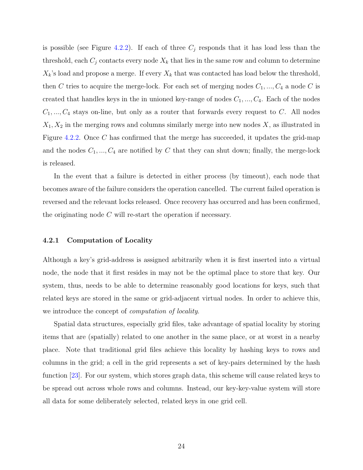is possible (see Figure [4.2.2\)](#page-42-1). If each of three  $C_j$  responds that it has load less than the threshold, each  $C_j$  contacts every node  $X_k$  that lies in the same row and column to determine  $X_k$ 's load and propose a merge. If every  $X_k$  that was contacted has load below the threshold, then C tries to acquire the merge-lock. For each set of merging nodes  $C_1, ..., C_4$  a node C is created that handles keys in the in unioned key-range of nodes  $C_1, ..., C_4$ . Each of the nodes  $C_1, ..., C_4$  stays on-line, but only as a router that forwards every request to C. All nodes  $X_1, X_2$  in the merging rows and columns similarly merge into new nodes X, as illustrated in Figure [4.2.2.](#page-42-1) Once C has confirmed that the merge has succeeded, it updates the grid-map and the nodes  $C_1, ..., C_4$  are notified by C that they can shut down; finally, the merge-lock is released.

In the event that a failure is detected in either process (by timeout), each node that becomes aware of the failure considers the operation cancelled. The current failed operation is reversed and the relevant locks released. Once recovery has occurred and has been confirmed, the originating node C will re-start the operation if necessary.

#### <span id="page-33-0"></span>4.2.1 Computation of Locality

Although a key's grid-address is assigned arbitrarily when it is first inserted into a virtual node, the node that it first resides in may not be the optimal place to store that key. Our system, thus, needs to be able to determine reasonably good locations for keys, such that related keys are stored in the same or grid-adjacent virtual nodes. In order to achieve this, we introduce the concept of *computation of locality*.

Spatial data structures, especially grid files, take advantage of spatial locality by storing items that are (spatially) related to one another in the same place, or at worst in a nearby place. Note that traditional grid files achieve this locality by hashing keys to rows and columns in the grid; a cell in the grid represents a set of key-pairs determined by the hash function [\[23\]](#page-59-6). For our system, which stores graph data, this scheme will cause related keys to be spread out across whole rows and columns. Instead, our key-key-value system will store all data for some deliberately selected, related keys in one grid cell.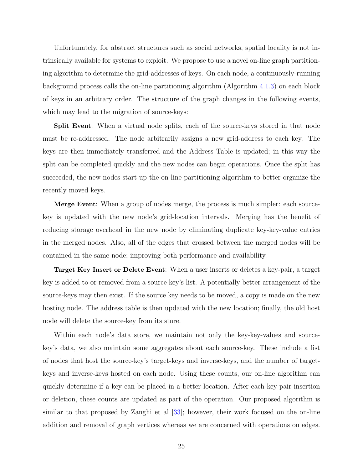Unfortunately, for abstract structures such as social networks, spatial locality is not intrinsically available for systems to exploit. We propose to use a novel on-line graph partitioning algorithm to determine the grid-addresses of keys. On each node, a continuously-running background process calls the on-line partitioning algorithm (Algorithm [4.1.3\)](#page-29-0) on each block of keys in an arbitrary order. The structure of the graph changes in the following events, which may lead to the migration of source-keys:

Split Event: When a virtual node splits, each of the source-keys stored in that node must be re-addressed. The node arbitrarily assigns a new grid-address to each key. The keys are then immediately transferred and the Address Table is updated; in this way the split can be completed quickly and the new nodes can begin operations. Once the split has succeeded, the new nodes start up the on-line partitioning algorithm to better organize the recently moved keys.

Merge Event: When a group of nodes merge, the process is much simpler: each sourcekey is updated with the new node's grid-location intervals. Merging has the benefit of reducing storage overhead in the new node by eliminating duplicate key-key-value entries in the merged nodes. Also, all of the edges that crossed between the merged nodes will be contained in the same node; improving both performance and availability.

Target Key Insert or Delete Event: When a user inserts or deletes a key-pair, a target key is added to or removed from a source key's list. A potentially better arrangement of the source-keys may then exist. If the source key needs to be moved, a copy is made on the new hosting node. The address table is then updated with the new location; finally, the old host node will delete the source-key from its store.

Within each node's data store, we maintain not only the key-key-values and sourcekey's data, we also maintain some aggregates about each source-key. These include a list of nodes that host the source-key's target-keys and inverse-keys, and the number of targetkeys and inverse-keys hosted on each node. Using these counts, our on-line algorithm can quickly determine if a key can be placed in a better location. After each key-pair insertion or deletion, these counts are updated as part of the operation. Our proposed algorithm is similar to that proposed by Zanghi et al [\[33\]](#page-59-7); however, their work focused on the on-line addition and removal of graph vertices whereas we are concerned with operations on edges.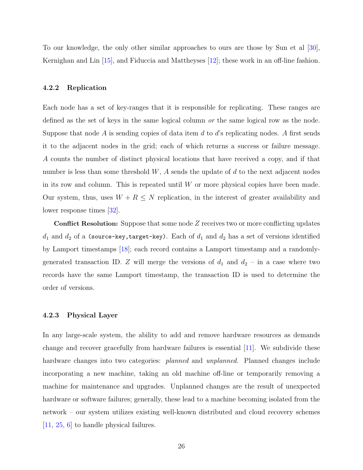To our knowledge, the only other similar approaches to ours are those by Sun et al [\[30\]](#page-59-8), Kernighan and Lin [\[15\]](#page-58-10), and Fiduccia and Mattheyses [\[12\]](#page-58-11); these work in an off-line fashion.

#### <span id="page-35-0"></span>4.2.2 Replication

Each node has a set of key-ranges that it is responsible for replicating. These ranges are defined as the set of keys in the same logical column or the same logical row as the node. Suppose that node A is sending copies of data item  $d$  to  $d$ 's replicating nodes. A first sends it to the adjacent nodes in the grid; each of which returns a success or failure message. A counts the number of distinct physical locations that have received a copy, and if that number is less than some threshold  $W$ , A sends the update of d to the next adjacent nodes in its row and column. This is repeated until  $W$  or more physical copies have been made. Our system, thus, uses  $W + R \leq N$  replication, in the interest of greater availability and lower response times [\[32\]](#page-59-9).

**Conflict Resolution:** Suppose that some node  $Z$  receives two or more conflicting updates  $d_1$  and  $d_2$  of a (source-key, target-key). Each of  $d_1$  and  $d_2$  has a set of versions identified by Lamport timestamps [\[18\]](#page-58-7); each record contains a Lamport timestamp and a randomlygenerated transaction ID. Z will merge the versions of  $d_1$  and  $d_2$  – in a case where two records have the same Lamport timestamp, the transaction ID is used to determine the order of versions.

#### <span id="page-35-1"></span>4.2.3 Physical Layer

In any large-scale system, the ability to add and remove hardware resources as demands change and recover gracefully from hardware failures is essential [\[11\]](#page-58-0). We subdivide these hardware changes into two categories: *planned* and *unplanned*. Planned changes include incorporating a new machine, taking an old machine off-line or temporarily removing a machine for maintenance and upgrades. Unplanned changes are the result of unexpected hardware or software failures; generally, these lead to a machine becoming isolated from the network – our system utilizes existing well-known distributed and cloud recovery schemes [\[11,](#page-58-0) [25,](#page-59-10) [6\]](#page-57-9) to handle physical failures.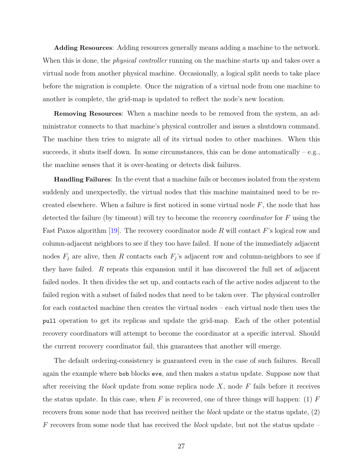Adding Resources: Adding resources generally means adding a machine to the network. When this is done, the *physical controller* running on the machine starts up and takes over a virtual node from another physical machine. Occasionally, a logical split needs to take place before the migration is complete. Once the migration of a virtual node from one machine to another is complete, the grid-map is updated to reflect the node's new location.

Removing Resources: When a machine needs to be removed from the system, an administrator connects to that machine's physical controller and issues a shutdown command. The machine then tries to migrate all of its virtual nodes to other machines. When this succeeds, it shuts itself down. In some circumstances, this can be done automatically  $-$  e.g., the machine senses that it is over-heating or detects disk failures.

Handling Failures: In the event that a machine fails or becomes isolated from the system suddenly and unexpectedly, the virtual nodes that this machine maintained need to be recreated elsewhere. When a failure is first noticed in some virtual node  $F$ , the node that has detected the failure (by timeout) will try to become the *recovery coordinator* for F using the Fast Paxos algorithm  $|19|$ . The recovery coordinator node R will contact F's logical row and column-adjacent neighbors to see if they too have failed. If none of the immediately adjacent nodes  $F_j$  are alive, then R contacts each  $F_j$ 's adjacent row and column-neighbors to see if they have failed. R repeats this expansion until it has discovered the full set of adjacent failed nodes. It then divides the set up, and contacts each of the active nodes adjacent to the failed region with a subset of failed nodes that need to be taken over. The physical controller for each contacted machine then creates the virtual nodes – each virtual node then uses the pull operation to get its replicas and update the grid-map. Each of the other potential recovery coordinators will attempt to become the coordinator at a specific interval. Should the current recovery coordinator fail, this guarantees that another will emerge.

The default ordering-consistency is guaranteed even in the case of such failures. Recall again the example where bob blocks eve, and then makes a status update. Suppose now that after receiving the *block* update from some replica node  $X$ , node  $F$  fails before it receives the status update. In this case, when F is recovered, one of three things will happen: (1)  $F$ recovers from some node that has received neither the *block* update or the status update, (2)  $F$  recovers from some node that has received the *block* update, but not the status update –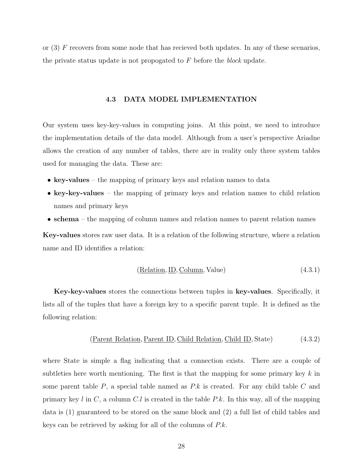or  $(3)$  F recovers from some node that has recieved both updates. In any of these scenarios, the private status update is not propogated to  $F$  before the *block* update.

#### 4.3 DATA MODEL IMPLEMENTATION

<span id="page-37-0"></span>Our system uses key-key-values in computing joins. At this point, we need to introduce the implementation details of the data model. Although from a user's perspective Ariadne allows the creation of any number of tables, there are in reality only three system tables used for managing the data. These are:

- key-values the mapping of primary keys and relation names to data
- key-key-values the mapping of primary keys and relation names to child relation names and primary keys
- schema the mapping of column names and relation names to parent relation names

Key-values stores raw user data. It is a relation of the following structure, where a relation name and ID identifies a relation:

<span id="page-37-1"></span>
$$
(\underline{Relation}, \underline{ID}, \underline{Column}, Value) \tag{4.3.1}
$$

Key-key-values stores the connections between tuples in key-values. Specifically, it lists all of the tuples that have a foreign key to a specific parent tuple. It is defined as the following relation:

<span id="page-37-2"></span>(Parent Relation, Parent ID, Child Relation, Child ID, State) (4.3.2)

where State is simple a flag indicating that a connection exists. There are a couple of subtleties here worth mentioning. The first is that the mapping for some primary key  $k$  in some parent table  $P$ , a special table named as  $P.k$  is created. For any child table  $C$  and primary key l in C, a column C.l is created in the table  $P.k$ . In this way, all of the mapping data is (1) guaranteed to be stored on the same block and (2) a full list of child tables and keys can be retrieved by asking for all of the columns of P.k.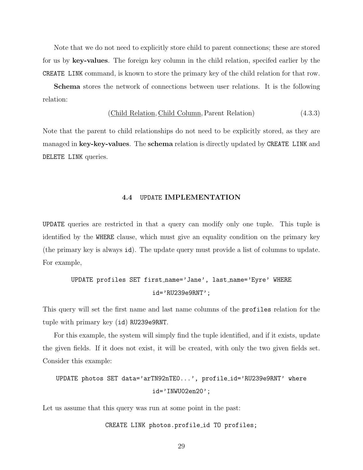Note that we do not need to explicitly store child to parent connections; these are stored for us by key-values. The foreign key column in the child relation, specifed earlier by the CREATE LINK command, is known to store the primary key of the child relation for that row.

<span id="page-38-1"></span>Schema stores the network of connections between user relations. It is the following relation:

(Child Relation, Child Column, Parent Relation) (4.3.3)

Note that the parent to child relationships do not need to be explicitly stored, as they are managed in key-key-values. The schema relation is directly updated by CREATE LINK and DELETE LINK queries.

#### 4.4 UPDATE IMPLEMENTATION

<span id="page-38-0"></span>UPDATE queries are restricted in that a query can modify only one tuple. This tuple is identified by the WHERE clause, which must give an equality condition on the primary key (the primary key is always id). The update query must provide a list of columns to update. For example,

UPDATE profiles SET first name='Jane', last name='Eyre' WHERE id='RU239e9RNT';

This query will set the first name and last name columns of the profiles relation for the tuple with primary key (id) RU239e9RNT.

For this example, the system will simply find the tuple identified, and if it exists, update the given fields. If it does not exist, it will be created, with only the two given fields set. Consider this example:

```
UPDATE photos SET data='arTN92nTE0...', profile_id='RU239e9RNT' where
                           id='INWU02en20';
```
Let us assume that this query was run at some point in the past:

```
CREATE LINK photos.profile id TO profiles;
```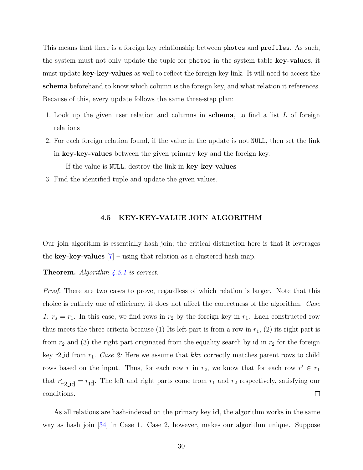This means that there is a foreign key relationship between photos and profiles. As such, the system must not only update the tuple for photos in the system table key-values, it must update key-key-values as well to reflect the foreign key link. It will need to access the schema beforehand to know which column is the foreign key, and what relation it references. Because of this, every update follows the same three-step plan:

- 1. Look up the given user relation and columns in schema, to find a list L of foreign relations
- 2. For each foreign relation found, if the value in the update is not NULL, then set the link in key-key-values between the given primary key and the foreign key.

If the value is NULL, destroy the link in key-key-values

<span id="page-39-0"></span>3. Find the identified tuple and update the given values.

#### 4.5 KEY-KEY-VALUE JOIN ALGORITHM

Our join algorithm is essentially hash join; the critical distinction here is that it leverages the key-key-values  $[7]$  – using that relation as a clustered hash map.

**Theorem.** Algorithm  $\ddagger$ , 5.1 is correct.

Proof. There are two cases to prove, regardless of which relation is larger. Note that this choice is entirely one of efficiency, it does not affect the correctness of the algorithm. Case 1:  $r_s = r_1$ . In this case, we find rows in  $r_2$  by the foreign key in  $r_1$ . Each constructed row thus meets the three criteria because (1) Its left part is from a row in  $r_1$ , (2) its right part is from  $r_2$  and (3) the right part originated from the equality search by id in  $r_2$  for the foreign key r2\_id from  $r_1$ . Case 2: Here we assume that kkv correctly matches parent rows to child rows based on the input. Thus, for each row r in  $r_2$ , we know that for each row  $r' \in r_1$ that  $r'_{r2\_id} = r_{id}$ . The left and right parts come from  $r_1$  and  $r_2$  respectively, satisfying our conditions.  $\Box$ 

As all relations are hash-indexed on the primary key id, the algorithm works in the same way as hash join [\[34\]](#page-59-11) in Case 1. Case 2, however, makes our algorithm unique. Suppose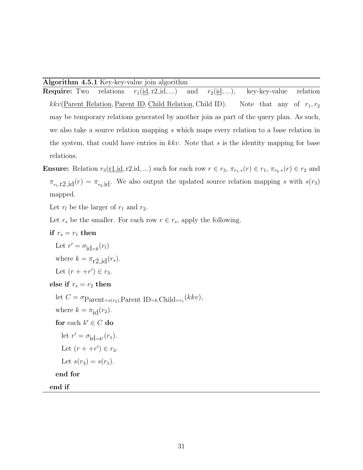<span id="page-40-0"></span>**Require:** Two relations  $r_1(\underline{id}, r2 \underline{id}, ...)$  and  $r_2(\underline{id}, ...)$ , key-key-value relation  $kkv(\text{Parent Relation}, \text{Parent ID}, \text{Child Relation}, \text{Child ID})$ . Note that any of  $r_1, r_2$ may be temporary relations generated by another join as part of the query plan. As such, we also take a source relation mapping s which maps every relation to a base relation in the system, that could have entries in  $kkv$ . Note that s is the identity mapping for base relations.

Ensure: Relation  $r_3(\underline{r1.id}, r2.id, ...)$  such for each row  $r \in r_3$ ,  $\pi_{r_1,*}(r) \in r_1$ ,  $\pi_{r_2,*}(r) \in r_2$  and  $\pi_{r_1,r_2}$  id $(r) = \pi_{r_2,r_3}$ . We also output the updated source relation mapping s with  $s(r_3)$ mapped.

Let  $r_l$  be the larger of  $r_1$  and  $r_2$ .

Let  $r_s$  be the smaller. For each row  $r \in r_s$ , apply the following.

if 
$$
r_s = r_1
$$
 then

Let 
$$
r' = \sigma_{\text{id}=k}(r_l)
$$
  
where  $k = \pi_{r2\_id}(r_s)$ .  
Let  $(r + r') \in r_3$ .

$$
else if r_s = r_2 then
$$

```
let C = \sigma_{\text{Parent} = s(r_2), \text{Parent ID} = k, \text{Child} = r_1}(kkv),
  where k = \pi_{\text{id}}(r_2).
   for each k' \in C do
      let r' = \sigma_{\text{id} = k'}(r_1).
      Let (r + +r') \in r_3.
     Let s(r_3) = s(r_1).
  end for
end if
```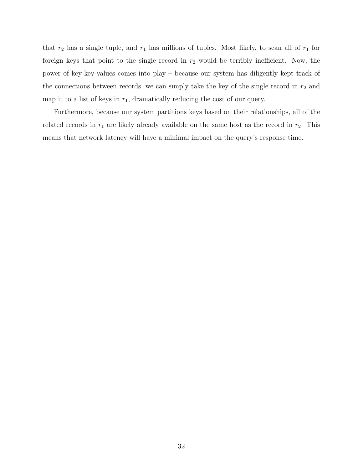that  $r_2$  has a single tuple, and  $r_1$  has millions of tuples. Most likely, to scan all of  $r_1$  for foreign keys that point to the single record in  $r_2$  would be terribly inefficient. Now, the power of key-key-values comes into play – because our system has diligently kept track of the connections between records, we can simply take the key of the single record in  $r_2$  and map it to a list of keys in  $r_1$ , dramatically reducing the cost of our query.

Furthermore, because our system partitions keys based on their relationships, all of the related records in  $r_1$  are likely already available on the same host as the record in  $r_2$ . This means that network latency will have a minimal impact on the query's response time.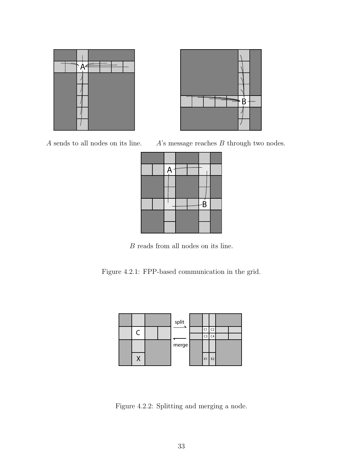



 $A$  sends to all nodes on its line.  $A$ 's message reaches  $B$  through two nodes.



B reads from all nodes on its line.

<span id="page-42-0"></span>Figure 4.2.1: FPP-based communication in the grid.



<span id="page-42-1"></span>Figure 4.2.2: Splitting and merging a node.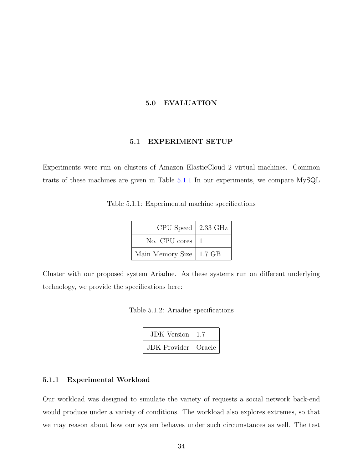#### <span id="page-43-0"></span>5.0 EVALUATION

#### 5.1 EXPERIMENT SETUP

<span id="page-43-3"></span><span id="page-43-1"></span>Experiments were run on clusters of Amazon ElasticCloud 2 virtual machines. Common traits of these machines are given in Table [5.1.1](#page-43-3) In our experiments, we compare MySQL

| Table 5.1.1: Experimental machine specifications |  |
|--------------------------------------------------|--|
|                                                  |  |

| CPU Speed $\vert$ 2.33 GHz |  |
|----------------------------|--|
| No. CPU cores $ 1$         |  |
| Main Memory Size   1.7 GB  |  |

<span id="page-43-4"></span>Cluster with our proposed system Ariadne. As these systems run on different underlying technology, we provide the specifications here:

Table 5.1.2: Ariadne specifications

| JDK Version $ 1.7$    |  |
|-----------------------|--|
| JDK Provider   Oracle |  |

#### <span id="page-43-2"></span>5.1.1 Experimental Workload

Our workload was designed to simulate the variety of requests a social network back-end would produce under a variety of conditions. The workload also explores extremes, so that we may reason about how our system behaves under such circumstances as well. The test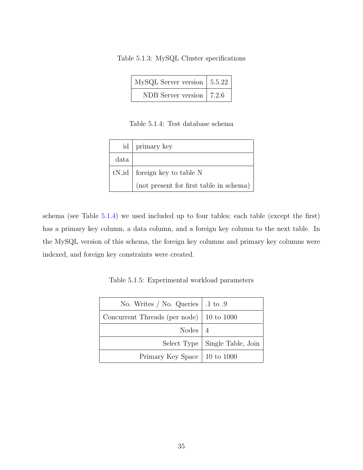| $MySQL$ Server version $\vert 5.5.22 \rangle$ |  |
|-----------------------------------------------|--|
| NDB Server version $\vert 7.2.6 \vert$        |  |

<span id="page-44-0"></span>Table 5.1.3: MySQL Cluster specifications

Table 5.1.4: Test database schema

<span id="page-44-1"></span>

| id   | primary key                             |  |  |  |  |
|------|-----------------------------------------|--|--|--|--|
| data |                                         |  |  |  |  |
|      | tN_id $\vert$ foreign key to table N    |  |  |  |  |
|      | (not present for first table in schema) |  |  |  |  |

<span id="page-44-2"></span>schema (see Table  $5.1.4$ ) we used included up to four tables; each table (except the first) has a primary key column, a data column, and a foreign key column to the next table. In the MySQL version of this schema, the foreign key columns and primary key columns were indexed, and foreign key constraints were created.

| No. Writes $/$ No. Queries $  .1$ to $.9$  |                                  |
|--------------------------------------------|----------------------------------|
| Concurrent Threads (per node)   10 to 1000 |                                  |
| Nodes $\vert 4$                            |                                  |
|                                            | Select Type   Single Table, Join |
| Primary Key Space   10 to 1000             |                                  |

Table 5.1.5: Experimental workload parameters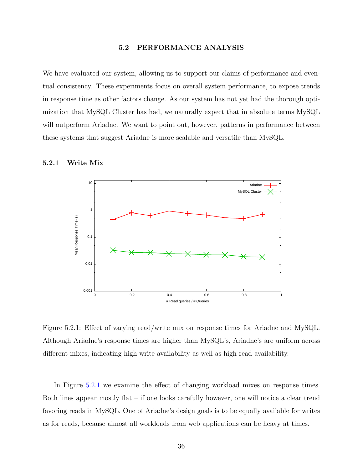#### 5.2 PERFORMANCE ANALYSIS

<span id="page-45-0"></span>We have evaluated our system, allowing us to support our claims of performance and eventual consistency. These experiments focus on overall system performance, to expose trends in response time as other factors change. As our system has not yet had the thorough optimization that MySQL Cluster has had, we naturally expect that in absolute terms MySQL will outperform Ariadne. We want to point out, however, patterns in performance between these systems that suggest Ariadne is more scalable and versatile than MySQL.

#### <span id="page-45-1"></span>5.2.1 Write Mix



<span id="page-45-2"></span>Figure 5.2.1: Effect of varying read/write mix on response times for Ariadne and MySQL. Although Ariadne's response times are higher than MySQL's, Ariadne's are uniform across different mixes, indicating high write availability as well as high read availability.

In Figure [5.2.1](#page-45-1) we examine the effect of changing workload mixes on response times. Both lines appear mostly flat – if one looks carefully however, one will notice a clear trend favoring reads in MySQL. One of Ariadne's design goals is to be equally available for writes as for reads, because almost all workloads from web applications can be heavy at times.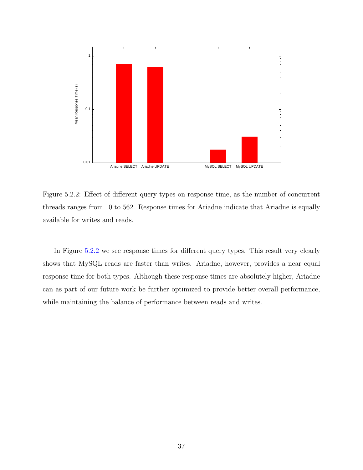

<span id="page-46-0"></span>Figure 5.2.2: Effect of different query types on response time, as the number of concurrent threads ranges from 10 to 562. Response times for Ariadne indicate that Ariadne is equally available for writes and reads.

In Figure [5.2.2](#page-45-2) we see response times for different query types. This result very clearly shows that MySQL reads are faster than writes. Ariadne, however, provides a near equal response time for both types. Although these response times are absolutely higher, Ariadne can as part of our future work be further optimized to provide better overall performance, while maintaining the balance of performance between reads and writes.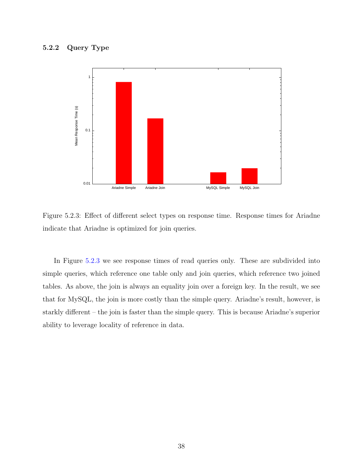#### <span id="page-47-0"></span>5.2.2 Query Type



<span id="page-47-1"></span>Figure 5.2.3: Effect of different select types on response time. Response times for Ariadne indicate that Ariadne is optimized for join queries.

In Figure [5.2.3](#page-47-0) we see response times of read queries only. These are subdivided into simple queries, which reference one table only and join queries, which reference two joined tables. As above, the join is always an equality join over a foreign key. In the result, we see that for MySQL, the join is more costly than the simple query. Ariadne's result, however, is starkly different – the join is faster than the simple query. This is because Ariadne's superior ability to leverage locality of reference in data.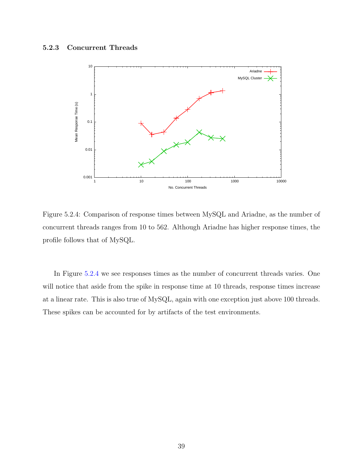#### <span id="page-48-0"></span>5.2.3 Concurrent Threads



<span id="page-48-1"></span>Figure 5.2.4: Comparison of response times between MySQL and Ariadne, as the number of concurrent threads ranges from 10 to 562. Although Ariadne has higher response times, the profile follows that of MySQL.

In Figure [5.2.4](#page-48-0) we see responses times as the number of concurrent threads varies. One will notice that aside from the spike in response time at 10 threads, response times increase at a linear rate. This is also true of MySQL, again with one exception just above 100 threads. These spikes can be accounted for by artifacts of the test environments.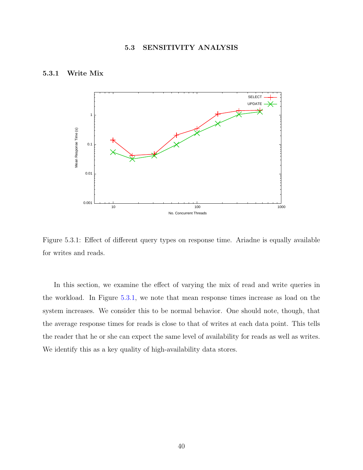#### <span id="page-49-2"></span>5.3 SENSITIVITY ANALYSIS



#### <span id="page-49-1"></span><span id="page-49-0"></span>5.3.1 Write Mix

Figure 5.3.1: Effect of different query types on response time. Ariadne is equally available for writes and reads.

In this section, we examine the effect of varying the mix of read and write queries in the workload. In Figure [5.3.1,](#page-49-1) we note that mean response times increase as load on the system increases. We consider this to be normal behavior. One should note, though, that the average response times for reads is close to that of writes at each data point. This tells the reader that he or she can expect the same level of availability for reads as well as writes. We identify this as a key quality of high-availability data stores.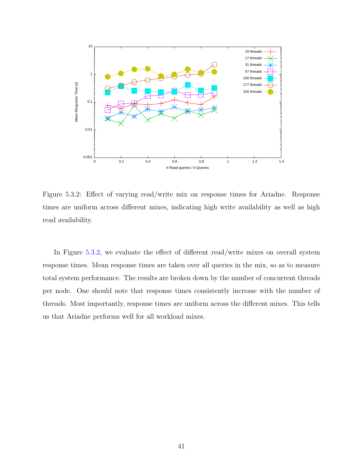

<span id="page-50-0"></span>Figure 5.3.2: Effect of varying read/write mix on response times for Ariadne. Response times are uniform across different mixes, indicating high write availability as well as high read availability.

In Figure [5.3.2,](#page-49-2) we evaluate the effect of different read/write mixes on overall system response times. Mean response times are taken over all queries in the mix, so as to measure total system performance. The results are broken down by the number of concurrent threads per node. One should note that response times consistently increase with the number of threads. Most importantly, response times are uniform across the different mixes. This tells us that Ariadne performs well for all workload mixes.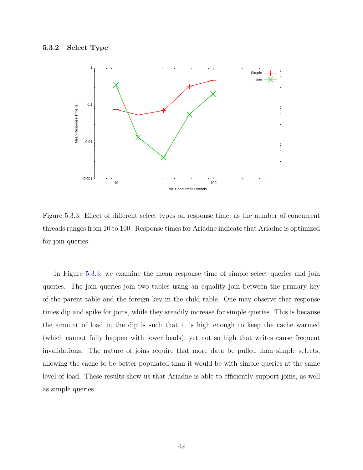#### <span id="page-51-0"></span>5.3.2 Select Type



<span id="page-51-1"></span>Figure 5.3.3: Effect of different select types on response time, as the number of concurrent threads ranges from 10 to 100. Response times for Ariadne indicate that Ariadne is optimized for join queries.

In Figure [5.3.3,](#page-51-0) we examine the mean response time of simple select queries and join queries. The join queries join two tables using an equality join between the primary key of the parent table and the foreign key in the child table. One may observe that response times dip and spike for joins, while they steadily increase for simple queries. This is because the amount of load in the dip is such that it is high enough to keep the cache warmed (which cannot fully happen with lower loads), yet not so high that writes cause frequent invalidations. The nature of joins require that more data be pulled than simple selects, allowing the cache to be better populated than it would be with simple queries at the same level of load. These results show us that Ariadne is able to efficiently support joins, as well as simple queries.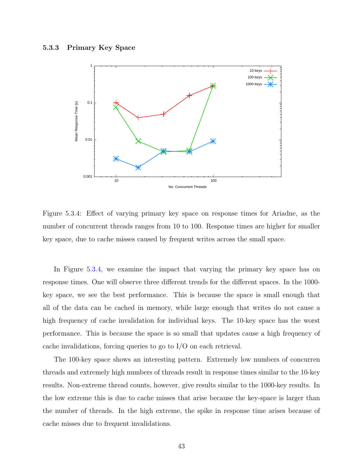#### <span id="page-52-0"></span>5.3.3 Primary Key Space



<span id="page-52-1"></span>Figure 5.3.4: Effect of varying primary key space on response times for Ariadne, as the number of concurrent threads ranges from 10 to 100. Response times are higher for smaller key space, due to cache misses caused by frequent writes across the small space.

In Figure [5.3.4,](#page-52-0) we examine the impact that varying the primary key space has on response times. One will observe three different trends for the different spaces. In the 1000 key space, we see the best performance. This is because the space is small enough that all of the data can be cached in memory, while large enough that writes do not cause a high frequency of cache invalidation for individual keys. The 10-key space has the worst performance. This is because the space is so small that updates cause a high frequency of cache invalidations, forcing queries to go to I/O on each retrieval.

The 100-key space shows an interesting pattern. Extremely low numbers of concurren threads and extremely high numbers of threads result in response times similar to the 10-key results. Non-extreme thread counts, however, give results similar to the 1000-key results. In the low extreme this is due to cache misses that arise because the key-space is larger than the number of threads. In the high extreme, the spike in response time arises because of cache misses due to frequent invalidations.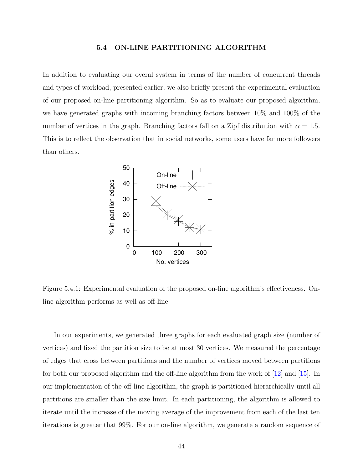#### 5.4 ON-LINE PARTITIONING ALGORITHM

<span id="page-53-0"></span>In addition to evaluating our overal system in terms of the number of concurrent threads and types of workload, presented earlier, we also briefly present the experimental evaluation of our proposed on-line partitioning algorithm. So as to evaluate our proposed algorithm, we have generated graphs with incoming branching factors between 10% and 100% of the number of vertices in the graph. Branching factors fall on a Zipf distribution with  $\alpha = 1.5$ . This is to reflect the observation that in social networks, some users have far more followers than others.

<span id="page-53-1"></span>

Figure 5.4.1: Experimental evaluation of the proposed on-line algorithm's effectiveness. Online algorithm performs as well as off-line.

In our experiments, we generated three graphs for each evaluated graph size (number of vertices) and fixed the partition size to be at most 30 vertices. We measured the percentage of edges that cross between partitions and the number of vertices moved between partitions for both our proposed algorithm and the off-line algorithm from the work of [\[12\]](#page-58-11) and [\[15\]](#page-58-10). In our implementation of the off-line algorithm, the graph is partitioned hierarchically until all partitions are smaller than the size limit. In each partitioning, the algorithm is allowed to iterate until the increase of the moving average of the improvement from each of the last ten iterations is greater that 99%. For our on-line algorithm, we generate a random sequence of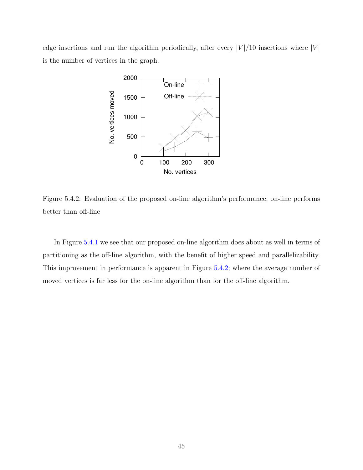edge insertions and run the algorithm periodically, after every  $|V|/10$  insertions where  $|V|$ is the number of vertices in the graph.

<span id="page-54-0"></span>

Figure 5.4.2: Evaluation of the proposed on-line algorithm's performance; on-line performs better than off-line

In Figure [5.4.1](#page-53-0) we see that our proposed on-line algorithm does about as well in terms of partitioning as the off-line algorithm, with the benefit of higher speed and parallelizability. This improvement in performance is apparent in Figure [5.4.2;](#page-53-1) where the average number of moved vertices is far less for the on-line algorithm than for the off-line algorithm.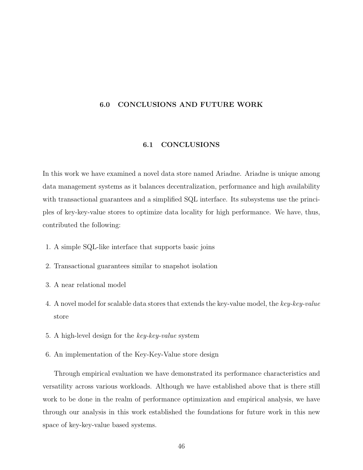#### <span id="page-55-0"></span>6.0 CONCLUSIONS AND FUTURE WORK

#### 6.1 CONCLUSIONS

<span id="page-55-1"></span>In this work we have examined a novel data store named Ariadne. Ariadne is unique among data management systems as it balances decentralization, performance and high availability with transactional guarantees and a simplified SQL interface. Its subsystems use the principles of key-key-value stores to optimize data locality for high performance. We have, thus, contributed the following:

- 1. A simple SQL-like interface that supports basic joins
- 2. Transactional guarantees similar to snapshot isolation
- 3. A near relational model
- 4. A novel model for scalable data stores that extends the key-value model, the key-key-value store
- 5. A high-level design for the key-key-value system
- 6. An implementation of the Key-Key-Value store design

Through empirical evaluation we have demonstrated its performance characteristics and versatility across various workloads. Although we have established above that is there still work to be done in the realm of performance optimization and empirical analysis, we have through our analysis in this work established the foundations for future work in this new space of key-key-value based systems.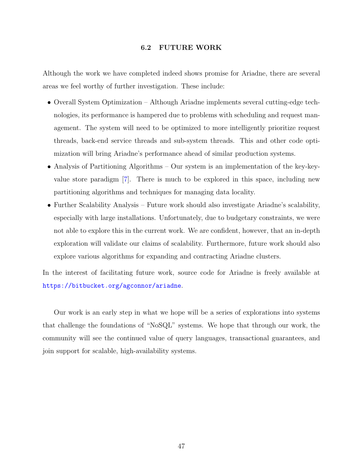#### 6.2 FUTURE WORK

<span id="page-56-0"></span>Although the work we have completed indeed shows promise for Ariadne, there are several areas we feel worthy of further investigation. These include:

- Overall System Optimization Although Ariadne implements several cutting-edge technologies, its performance is hampered due to problems with scheduling and request management. The system will need to be optimized to more intelligently prioritize request threads, back-end service threads and sub-system threads. This and other code optimization will bring Ariadne's performance ahead of similar production systems.
- Analysis of Partitioning Algorithms Our system is an implementation of the key-keyvalue store paradigm [\[7\]](#page-57-2). There is much to be explored in this space, including new partitioning algorithms and techniques for managing data locality.
- Further Scalability Analysis Future work should also investigate Ariadne's scalability, especially with large installations. Unfortunately, due to budgetary constraints, we were not able to explore this in the current work. We are confident, however, that an in-depth exploration will validate our claims of scalability. Furthermore, future work should also explore various algorithms for expanding and contracting Ariadne clusters.

In the interest of facilitating future work, source code for Ariadne is freely available at <https://bitbucket.org/agconnor/ariadne>.

Our work is an early step in what we hope will be a series of explorations into systems that challenge the foundations of "NoSQL" systems. We hope that through our work, the community will see the continued value of query languages, transactional guarantees, and join support for scalable, high-availability systems.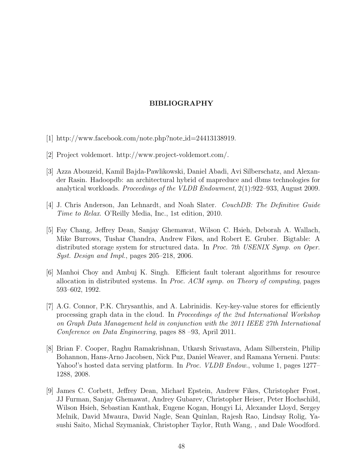#### BIBLIOGRAPHY

- <span id="page-57-5"></span><span id="page-57-0"></span>[1] http://www.facebook.com/note.php?note id=24413138919.
- <span id="page-57-6"></span>[2] Project voldemort. http://www.project-voldemort.com/.
- <span id="page-57-7"></span>[3] Azza Abouzeid, Kamil Bajda-Pawlikowski, Daniel Abadi, Avi Silberschatz, and Alexander Rasin. Hadoopdb: an architectural hybrid of mapreduce and dbms technologies for analytical workloads. Proceedings of the VLDB Endowment, 2(1):922–933, August 2009.
- <span id="page-57-1"></span>[4] J. Chris Anderson, Jan Lehnardt, and Noah Slater. CouchDB: The Definitive Guide Time to Relax. O'Reilly Media, Inc., 1st edition, 2010.
- <span id="page-57-4"></span>[5] Fay Chang, Jeffrey Dean, Sanjay Ghemawat, Wilson C. Hsieh, Deborah A. Wallach, Mike Burrows, Tushar Chandra, Andrew Fikes, and Robert E. Gruber. Bigtable: A distributed storage system for structured data. In Proc. 7th USENIX Symp. on Oper. Syst. Design and Impl., pages 205–218, 2006.
- <span id="page-57-9"></span>[6] Manhoi Choy and Ambuj K. Singh. Efficient fault tolerant algorithms for resource allocation in distributed systems. In Proc. ACM symp. on Theory of computing, pages 593–602, 1992.
- <span id="page-57-2"></span>[7] A.G. Connor, P.K. Chrysanthis, and A. Labrinidis. Key-key-value stores for efficiently processing graph data in the cloud. In Proceedings of the 2nd International Workshop on Graph Data Management held in conjunction with the 2011 IEEE 27th International Conference on Data Engineering, pages 88 –93, April 2011.
- <span id="page-57-3"></span>[8] Brian F. Cooper, Raghu Ramakrishnan, Utkarsh Srivastava, Adam Silberstein, Philip Bohannon, Hans-Arno Jacobsen, Nick Puz, Daniel Weaver, and Ramana Yerneni. Pnuts: Yahoo!'s hosted data serving platform. In *Proc. VLDB Endow*., volume 1, pages 1277– 1288, 2008.
- <span id="page-57-8"></span>[9] James C. Corbett, Jeffrey Dean, Michael Epstein, Andrew Fikes, Christopher Frost, JJ Furman, Sanjay Ghemawat, Andrey Gubarev, Christopher Heiser, Peter Hochschild, Wilson Hsieh, Sebastian Kanthak, Eugene Kogan, Hongyi Li, Alexander Lloyd, Sergey Melnik, David Mwaura, David Nagle, Sean Quinlan, Rajesh Rao, Lindsay Rolig, Yasushi Saito, Michal Szymaniak, Christopher Taylor, Ruth Wang, , and Dale Woodford.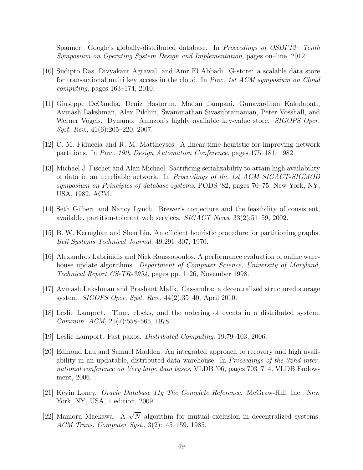Spanner: Google's globally-distributed database. In Proceedings of OSDI'12: Tenth Symposium on Operating System Design and Implementation, pages on–line, 2012.

- <span id="page-58-2"></span>[10] Sudipto Das, Divyakant Agrawal, and Amr El Abbadi. G-store: a scalable data store for transactional multi key access in the cloud. In Proc. 1st ACM symposium on Cloud  $computing$ , pages  $163-174$ ,  $2010$ .
- <span id="page-58-0"></span>[11] Giuseppe DeCandia, Deniz Hastorun, Madan Jampani, Gunavardhan Kakulapati, Avinash Lakshman, Alex Pilchin, Swaminathan Sivasubramanian, Peter Vosshall, and Werner Vogels. Dynamo: Amazon's highly available key-value store. SIGOPS Oper. Syst. Rev., 41(6):205–220, 2007.
- <span id="page-58-11"></span>[12] C. M. Fiduccia and R. M. Mattheyses. A linear-time heuristic for improving network partitions. In Proc. 19th Design Automation Conference, pages 175–181, 1982.
- <span id="page-58-6"></span>[13] Michael J. Fischer and Alan Michael. Sacrificing serializability to attain high availability of data in an unreliable network. In Proceedings of the 1st ACM SIGACT-SIGMOD symposium on Principles of database systems, PODS '82, pages 70–75, New York, NY, USA, 1982. ACM.
- <span id="page-58-1"></span>[14] Seth Gilbert and Nancy Lynch. Brewer's conjecture and the feasibility of consistent, available, partition-tolerant web services. SIGACT News, 33(2):51–59, 2002.
- <span id="page-58-10"></span>[15] B. W. Kernighan and Shen Lin. An efficient heuristic procedure for partitioning graphs. Bell Systems Technical Journal, 49:291–307, 1970.
- <span id="page-58-8"></span>[16] Alexandros Labrinidis and Nick Roussopoulos. A performance evaluation of online warehouse update algorithms. Department of Computer Science, University of Maryland, Technical Report CS-TR-3954, pages pp. 1–26, November 1998.
- <span id="page-58-3"></span>[17] Avinash Lakshman and Prashant Malik. Cassandra: a decentralized structured storage system. SIGOPS Oper. Syst. Rev., 44(2):35–40, April 2010.
- <span id="page-58-7"></span>[18] Leslie Lamport. Time, clocks, and the ordering of events in a distributed system. Commun. ACM, 21(7):558–565, 1978.
- <span id="page-58-12"></span>[19] Leslie Lamport. Fast paxos. Distributed Computing, 19:79–103, 2006.
- <span id="page-58-5"></span>[20] Edmond Lau and Samuel Madden. An integrated approach to recovery and high availability in an updatable, distributed data warehouse. In *Proceedings of the 32nd inter*national conference on Very large data bases, VLDB '06, pages 703–714. VLDB Endowment, 2006.
- <span id="page-58-4"></span>[21] Kevin Loney. Oracle Database 11g The Complete Reference. McGraw-Hill, Inc., New York, NY, USA, 1 edition, 2009.
- <span id="page-58-9"></span>[22] Mamoru Maekawa. A  $\sqrt{N}$  algorithm for mutual exclusion in decentralized systems. ACM Trans. Computer Syst., 3(2):145–159, 1985.